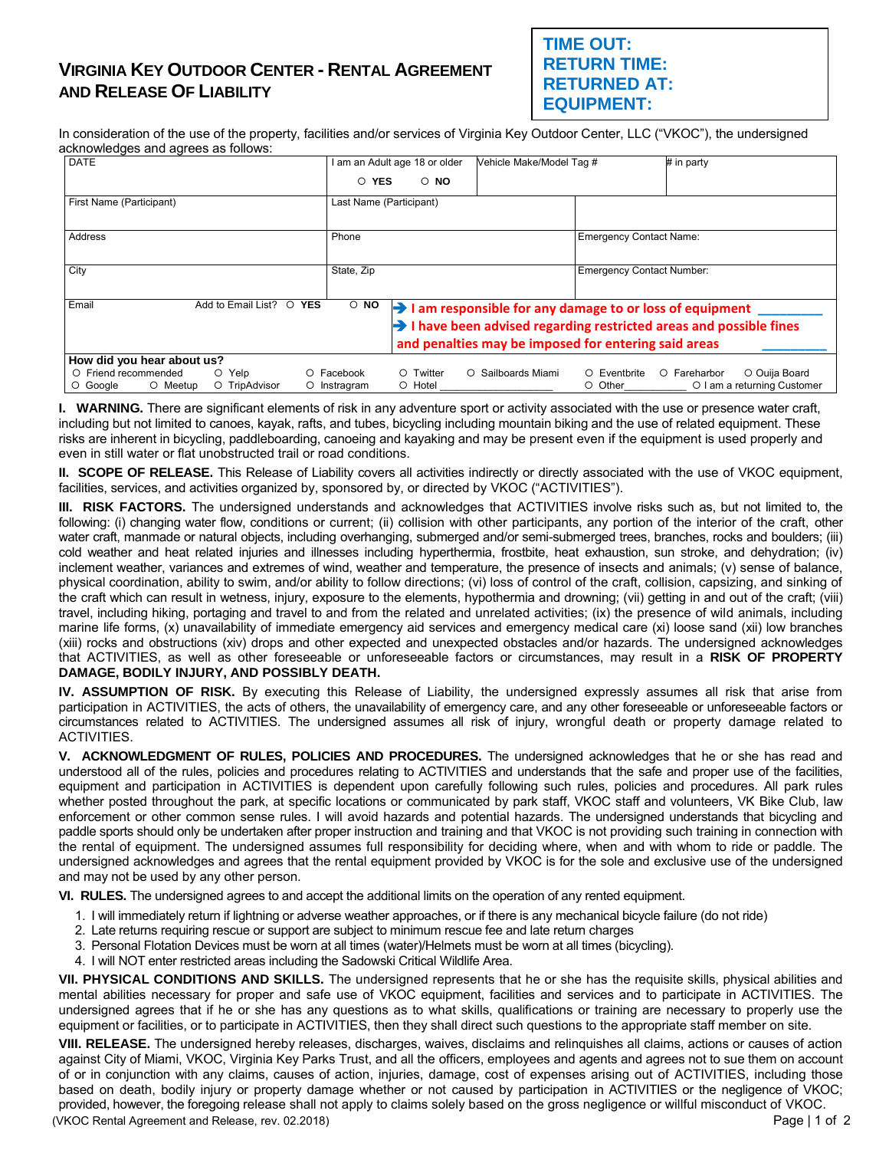## **VIRGINIA KEY OUTDOOR CENTER - RENTAL AGREEMENT AND RELEASE OF LIABILITY**

## **TIME OUT: RETURN TIME: RETURNED AT: EQUIPMENT:**

In consideration of the use of the property, facilities and/or services of Virginia Key Outdoor Center, LLC ("VKOC"), the undersigned acknowledges and agrees as follows:

| <b>DATE</b>                                                                                                                                 | am an Adult age 18 or older                          | Vehicle Make/Model Tag #                                                        |                                  | # in party                    |  |
|---------------------------------------------------------------------------------------------------------------------------------------------|------------------------------------------------------|---------------------------------------------------------------------------------|----------------------------------|-------------------------------|--|
|                                                                                                                                             | O YES<br>$\circ$ NO                                  |                                                                                 |                                  |                               |  |
| First Name (Participant)                                                                                                                    | Last Name (Participant)                              |                                                                                 |                                  |                               |  |
|                                                                                                                                             |                                                      |                                                                                 |                                  |                               |  |
| Address                                                                                                                                     | Phone                                                |                                                                                 | <b>Emergency Contact Name:</b>   |                               |  |
|                                                                                                                                             |                                                      |                                                                                 |                                  |                               |  |
| City                                                                                                                                        | State, Zip                                           |                                                                                 | <b>Emergency Contact Number:</b> |                               |  |
|                                                                                                                                             |                                                      |                                                                                 |                                  |                               |  |
| Email<br>Add to Email List?<br>$\circ$ NO<br>$\circ$<br><b>YES</b><br>$\rightarrow$ 1 am responsible for any damage to or loss of equipment |                                                      |                                                                                 |                                  |                               |  |
|                                                                                                                                             |                                                      | $\rightarrow$ I have been advised regarding restricted areas and possible fines |                                  |                               |  |
|                                                                                                                                             | and penalties may be imposed for entering said areas |                                                                                 |                                  |                               |  |
| How did you hear about us?                                                                                                                  |                                                      |                                                                                 |                                  |                               |  |
| O Friend recommended<br>O Yelp                                                                                                              | O Twitter<br>O Facebook                              | Sailboards Miami<br>$\circ$                                                     | O Eventbrite                     | O Ouija Board<br>O Fareharbor |  |
| O Meetup<br>O TripAdvisor<br>O Google                                                                                                       | O Hotel<br>O Instragram                              |                                                                                 | ○ Other                          | O I am a returning Customer   |  |

**I. WARNING.** There are significant elements of risk in any adventure sport or activity associated with the use or presence water craft, including but not limited to canoes, kayak, rafts, and tubes, bicycling including mountain biking and the use of related equipment. These risks are inherent in bicycling, paddleboarding, canoeing and kayaking and may be present even if the equipment is used properly and even in still water or flat unobstructed trail or road conditions.

**II. SCOPE OF RELEASE.** This Release of Liability covers all activities indirectly or directly associated with the use of VKOC equipment, facilities, services, and activities organized by, sponsored by, or directed by VKOC ("ACTIVITIES").

**III. RISK FACTORS.** The undersigned understands and acknowledges that ACTIVITIES involve risks such as, but not limited to, the following: (i) changing water flow, conditions or current; (ii) collision with other participants, any portion of the interior of the craft, other water craft, manmade or natural objects, including overhanging, submerged and/or semi-submerged trees, branches, rocks and boulders; (iii) cold weather and heat related injuries and illnesses including hyperthermia, frostbite, heat exhaustion, sun stroke, and dehydration; (iv) inclement weather, variances and extremes of wind, weather and temperature, the presence of insects and animals; (v) sense of balance, physical coordination, ability to swim, and/or ability to follow directions; (vi) loss of control of the craft, collision, capsizing, and sinking of the craft which can result in wetness, injury, exposure to the elements, hypothermia and drowning; (vii) getting in and out of the craft; (viii) travel, including hiking, portaging and travel to and from the related and unrelated activities; (ix) the presence of wild animals, including marine life forms, (x) unavailability of immediate emergency aid services and emergency medical care (xi) loose sand (xii) low branches (xiii) rocks and obstructions (xiv) drops and other expected and unexpected obstacles and/or hazards. The undersigned acknowledges that ACTIVITIES, as well as other foreseeable or unforeseeable factors or circumstances, may result in a **RISK OF PROPERTY DAMAGE, BODILY INJURY, AND POSSIBLY DEATH.** 

**IV. ASSUMPTION OF RISK.** By executing this Release of Liability, the undersigned expressly assumes all risk that arise from participation in ACTIVITIES, the acts of others, the unavailability of emergency care, and any other foreseeable or unforeseeable factors or circumstances related to ACTIVITIES. The undersigned assumes all risk of injury, wrongful death or property damage related to ACTIVITIES.

**V. ACKNOWLEDGMENT OF RULES, POLICIES AND PROCEDURES.** The undersigned acknowledges that he or she has read and understood all of the rules, policies and procedures relating to ACTIVITIES and understands that the safe and proper use of the facilities, equipment and participation in ACTIVITIES is dependent upon carefully following such rules, policies and procedures. All park rules whether posted throughout the park, at specific locations or communicated by park staff, VKOC staff and volunteers, VK Bike Club, law enforcement or other common sense rules. I will avoid hazards and potential hazards. The undersigned understands that bicycling and paddle sports should only be undertaken after proper instruction and training and that VKOC is not providing such training in connection with the rental of equipment. The undersigned assumes full responsibility for deciding where, when and with whom to ride or paddle. The undersigned acknowledges and agrees that the rental equipment provided by VKOC is for the sole and exclusive use of the undersigned and may not be used by any other person.

**VI. RULES.** The undersigned agrees to and accept the additional limits on the operation of any rented equipment.

- 1. I will immediately return if lightning or adverse weather approaches, or if there is any mechanical bicycle failure (do not ride)
- 2. Late returns requiring rescue or support are subject to minimum rescue fee and late return charges
- 3. Personal Flotation Devices must be worn at all times (water)/Helmets must be worn at all times (bicycling).
- 4. I will NOT enter restricted areas including the Sadowski Critical Wildlife Area.

**VII. PHYSICAL CONDITIONS AND SKILLS.** The undersigned represents that he or she has the requisite skills, physical abilities and mental abilities necessary for proper and safe use of VKOC equipment, facilities and services and to participate in ACTIVITIES. The undersigned agrees that if he or she has any questions as to what skills, qualifications or training are necessary to properly use the equipment or facilities, or to participate in ACTIVITIES, then they shall direct such questions to the appropriate staff member on site.

(VKOC Rental Agreement and Release, rev. 02.2018) Page | 1 of 2 **VIII. RELEASE.** The undersigned hereby releases, discharges, waives, disclaims and relinquishes all claims, actions or causes of action against City of Miami, VKOC, Virginia Key Parks Trust, and all the officers, employees and agents and agrees not to sue them on account of or in conjunction with any claims, causes of action, injuries, damage, cost of expenses arising out of ACTIVITIES, including those based on death, bodily injury or property damage whether or not caused by participation in ACTIVITIES or the negligence of VKOC; provided, however, the foregoing release shall not apply to claims solely based on the gross negligence or willful misconduct of VKOC.